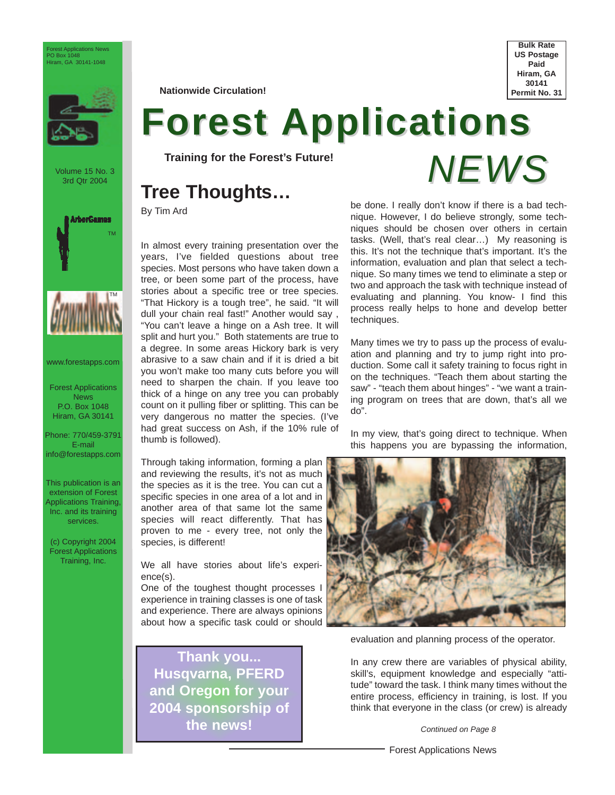

Volume 15 No. 3 3rd Qtr 2004





www.forestapps.com

Forest Applications News P.O. Box 1048 Hiram, GA 30141

Phone: 770/459-3791 E-mail info@forestapps.com

This publication is an extension of Forest Applications Training, Inc. and its training services.

(c) Copyright 2004 Forest Applications Training, Inc.

**Nationwide Circulation!**



# **Forest Applications**

**Training for the Forest's Future!**

### **Tree Thoughts…**

By Tim Ard

In almost every training presentation over the years, I've fielded questions about tree species. Most persons who have taken down a tree, or been some part of the process, have stories about a specific tree or tree species. "That Hickory is a tough tree", he said. "It will dull your chain real fast!" Another would say , "You can't leave a hinge on a Ash tree. It will split and hurt you." Both statements are true to a degree. In some areas Hickory bark is very abrasive to a saw chain and if it is dried a bit you won't make too many cuts before you will need to sharpen the chain. If you leave too thick of a hinge on any tree you can probably count on it pulling fiber or splitting. This can be very dangerous no matter the species. (I've had great success on Ash, if the 10% rule of thumb is followed).

Through taking information, forming a plan and reviewing the results, it's not as much the species as it is the tree. You can cut a specific species in one area of a lot and in another area of that same lot the same species will react differently. That has proven to me - every tree, not only the species, is different!

We all have stories about life's experience(s).

One of the toughest thought processes I experience in training classes is one of task and experience. There are always opinions about how a specific task could or should

**Thank you... Husqvarna, PFERD and Oregon for your 2004 sponsorship of the news!**



be done. I really don't know if there is a bad technique. However, I do believe strongly, some techniques should be chosen over others in certain tasks. (Well, that's real clear…) My reasoning is this. It's not the technique that's important. It's the information, evaluation and plan that select a technique. So many times we tend to eliminate a step or two and approach the task with technique instead of evaluating and planning. You know- I find this process really helps to hone and develop better techniques.

Many times we try to pass up the process of evaluation and planning and try to jump right into production. Some call it safety training to focus right in on the techniques. "Teach them about starting the saw" - "teach them about hinges" - "we want a training program on trees that are down, that's all we do".

In my view, that's going direct to technique. When this happens you are bypassing the information,



evaluation and planning process of the operator.

In any crew there are variables of physical ability, skill's, equipment knowledge and especially "attitude" toward the task. I think many times without the entire process, efficiency in training, is lost. If you think that everyone in the class (or crew) is already

*Continued on Page 8*

Forest Applications News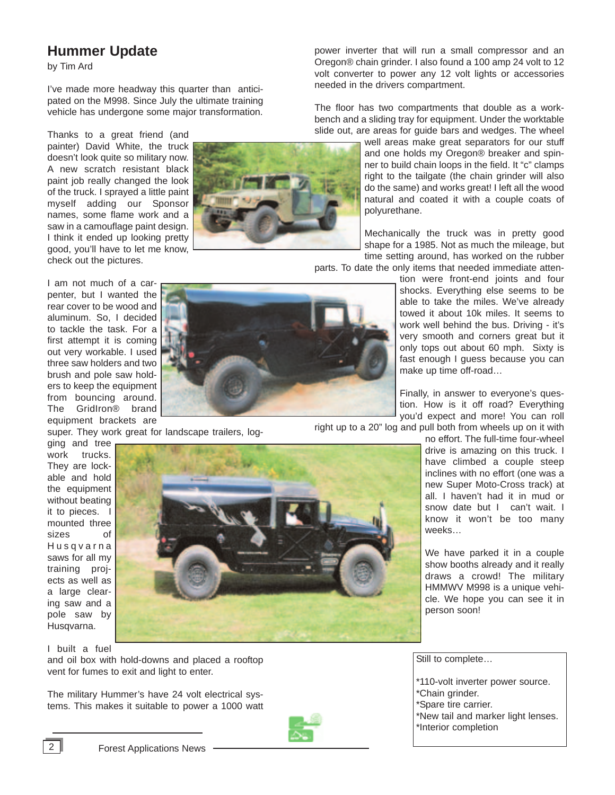#### **Hummer Update**

by Tim Ard

I've made more headway this quarter than anticipated on the M998. Since July the ultimate training vehicle has undergone some major transformation.

Thanks to a great friend (and painter) David White, the truck doesn't look quite so military now. A new scratch resistant black paint job really changed the look of the truck. I sprayed a little paint myself adding our Sponsor names, some flame work and a saw in a camouflage paint design. I think it ended up looking pretty good, you'll have to let me know, check out the pictures.

I am not much of a carpenter, but I wanted the rear cover to be wood and aluminum. So, I decided to tackle the task. For a first attempt it is coming out very workable. I used three saw holders and two brush and pole saw holders to keep the equipment from bouncing around. The GridIron® brand equipment brackets are

super. They work great for landscape trailers, log-

volt converter to power any 12 volt lights or accessories needed in the drivers compartment. The floor has two compartments that double as a workbench and a sliding tray for equipment. Under the worktable slide out, are areas for guide bars and wedges. The wheel

well areas make great separators for our stuff and one holds my Oregon® breaker and spinner to build chain loops in the field. It "c" clamps right to the tailgate (the chain grinder will also do the same) and works great! I left all the wood natural and coated it with a couple coats of polyurethane.

Mechanically the truck was in pretty good shape for a 1985. Not as much the mileage, but time setting around, has worked on the rubber

parts. To date the only items that needed immediate atten-

power inverter that will run a small compressor and an Oregon® chain grinder. I also found a 100 amp 24 volt to 12

> tion were front-end joints and four shocks. Everything else seems to be able to take the miles. We've already towed it about 10k miles. It seems to work well behind the bus. Driving - it's very smooth and corners great but it only tops out about 60 mph. Sixty is fast enough I guess because you can make up time off-road…

Finally, in answer to everyone's question. How is it off road? Everything you'd expect and more! You can roll

right up to a 20" log and pull both from wheels up on it with

no effort. The full-time four-wheel drive is amazing on this truck. I have climbed a couple steep inclines with no effort (one was a new Super Moto-Cross track) at all. I haven't had it in mud or snow date but I can't wait. I know it won't be too many weeks…

We have parked it in a couple show booths already and it really draws a crowd! The military HMMWV M998 is a unique vehicle. We hope you can see it in person soon!

work trucks. They are lockable and hold the equipment without beating it to pieces. I mounted three sizes of Husqvarna saws for all my training projects as well as a large clearing saw and a pole saw by Husqvarna.

ging and tree

I built a fuel and oil box with hold-downs and placed a rooftop vent for fumes to exit and light to enter.

The military Hummer's have 24 volt electrical systems. This makes it suitable to power a 1000 watt



Still to complete…

\*110-volt inverter power source. \*Chain grinder. \*Spare tire carrier. \*New tail and marker light lenses. \*Interior completion

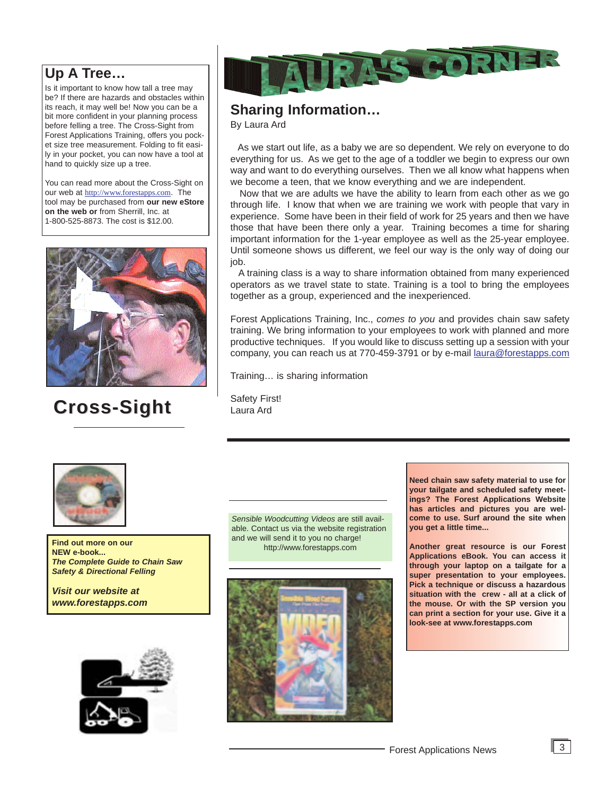#### **Up A Tree…**

Is it important to know how tall a tree may be? If there are hazards and obstacles within its reach, it may well be! Now you can be a bit more confident in your planning process before felling a tree. The Cross-Sight from Forest Applications Training, offers you pocket size tree measurement. Folding to fit easily in your pocket, you can now have a tool at hand to quickly size up a tree.

You can read more about the Cross-Sight on our web at http://www.forestapps.com. The tool may be purchased from **our new eStore on the web or** from Sherrill, Inc. at 1-800-525-8873. The cost is \$12.00.



## **Cross-Sight Cross-Sight**



#### **Sharing Information…**

By Laura Ard

As we start out life, as a baby we are so dependent. We rely on everyone to do everything for us. As we get to the age of a toddler we begin to express our own way and want to do everything ourselves. Then we all know what happens when we become a teen, that we know everything and we are independent.

Now that we are adults we have the ability to learn from each other as we go through life. I know that when we are training we work with people that vary in experience. Some have been in their field of work for 25 years and then we have those that have been there only a year. Training becomes a time for sharing important information for the 1-year employee as well as the 25-year employee. Until someone shows us different, we feel our way is the only way of doing our job.

A training class is a way to share information obtained from many experienced operators as we travel state to state. Training is a tool to bring the employees together as a group, experienced and the inexperienced.

Forest Applications Training, Inc., *comes to you* and provides chain saw safety training. We bring information to your employees to work with planned and more productive techniques. If you would like to discuss setting up a session with your company, you can reach us at 770-459-3791 or by e-mail laura@forestapps.com

Training… is sharing information

Safety First! Laura Ard



**Find out more on our and we will sell at the you no charge on our and the sell of the sell of the sell of the sell of the sell of the sell of the sell of the sell of the sell of the sell of the sell of the sell of the sel NEW e-book...** *The Complete Guide to Chain Saw Safety & Directional Felling* 

*Visit our website at www.forestapps.com*



*Sensible Woodcutting Videos* are still available. Contact us via the website registration and we will send it to you no charge!



**Need chain saw safety material to use for your tailgate and scheduled safety meetings? The Forest Applications Website has articles and pictures you are welcome to use. Surf around the site when you get a little time...**

**Another great resource is our Forest Applications eBook. You can access it through your laptop on a tailgate for a super presentation to your employees. Pick a technique or discuss a hazardous situation with the crew - all at a click of the mouse. Or with the SP version you can print a section for your use. Give it a look-see at www.forestapps.com**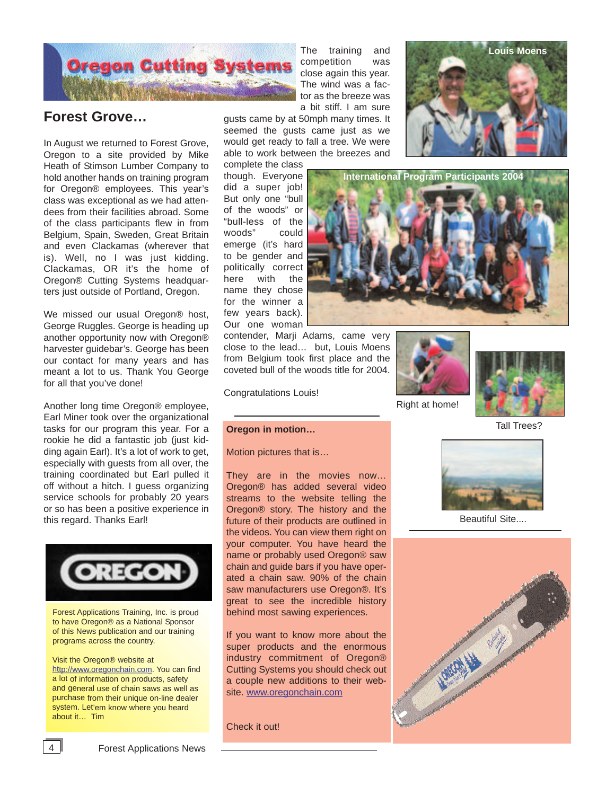

#### **Forest Grove…**

In August we returned to Forest Grove, Oregon to a site provided by Mike Heath of Stimson Lumber Company to hold another hands on training program for Oregon® employees. This year's class was exceptional as we had attendees from their facilities abroad. Some of the class participants flew in from Belgium, Spain, Sweden, Great Britain and even Clackamas (wherever that is). Well, no I was just kidding. Clackamas, OR it's the home of Oregon® Cutting Systems headquarters just outside of Portland, Oregon.

We missed our usual Oregon® host, George Ruggles. George is heading up another opportunity now with Oregon® harvester guidebar's. George has been our contact for many years and has meant a lot to us. Thank You George for all that you've done!

Another long time Oregon® employee, Earl Miner took over the organizational tasks for our program this year. For a rookie he did a fantastic job (just kidding again Earl). It's a lot of work to get, especially with guests from all over, the training coordinated but Earl pulled it off without a hitch. I guess organizing service schools for probably 20 years or so has been a positive experience in this regard. Thanks Earl!



Forest Applications Training, Inc. is proud to have Oregon® as a National Sponsor of this News publication and our training programs across the country.

Visit the Oregon® website at http://www.oregonchain.com. You can find a lot of information on products, safety and general use of chain saws as well as purchase from their unique on-line dealer system. Let'em know where you heard about it… Tim

The training and competition was close again this year. The wind was a factor as the breeze was a bit stiff. I am sure

gusts came by at 50mph many times. It seemed the gusts came just as we would get ready to fall a tree. We were able to work between the breezes and

complete the class though. Everyone did a super job! But only one "bull of the woods" or "bull-less of the woods" could emerge (it's hard to be gender and politically correct here with the name they chose for the winner a few years back). Our one woman



contender, Marji Adams, came very close to the lead… but, Louis Moens from Belgium took first place and the coveted bull of the woods title for 2004.

Congratulations Louis!

# Right at home!



**Louis Moens**

Tall Trees?



Motion pictures that is…

They are in the movies now… Oregon® has added several video streams to the website telling the Oregon® story. The history and the future of their products are outlined in the videos. You can view them right on your computer. You have heard the name or probably used Oregon® saw chain and guide bars if you have operated a chain saw. 90% of the chain saw manufacturers use Oregon®. It's great to see the incredible history behind most sawing experiences.

If you want to know more about the super products and the enormous industry commitment of Oregon® Cutting Systems you should check out a couple new additions to their website. www.oregonchain.com

Check it out!



Beautiful Site....

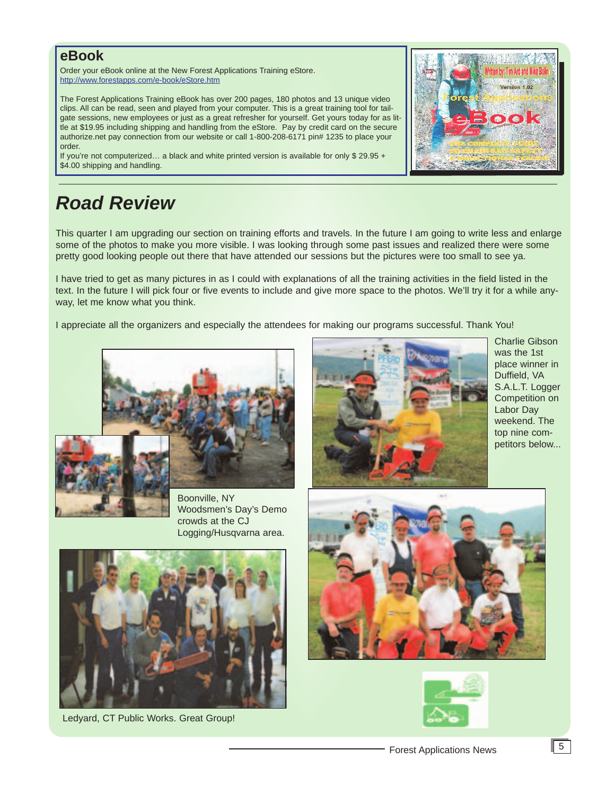#### **eBook**

Order your eBook online at the New Forest Applications Training eStore. http://www.forestapps.com/e-book/eStore.htm

The Forest Applications Training eBook has over 200 pages, 180 photos and 13 unique video clips. All can be read, seen and played from your computer. This is a great training tool for tailgate sessions, new employees or just as a great refresher for yourself. Get yours today for as little at \$19.95 including shipping and handling from the eStore. Pay by credit card on the secure authorize.net pay connection from our website or call 1-800-208-6171 pin# 1235 to place your order.

If you're not computerized... a black and white printed version is available for only  $$29.95 +$ \$4.00 shipping and handling.

### *Road Review*

This quarter I am upgrading our section on training efforts and travels. In the future I am going to write less and enlarge some of the photos to make you more visible. I was looking through some past issues and realized there were some pretty good looking people out there that have attended our sessions but the pictures were too small to see ya.

I have tried to get as many pictures in as I could with explanations of all the training activities in the field listed in the text. In the future I will pick four or five events to include and give more space to the photos. We'll try it for a while anyway, let me know what you think.

I appreciate all the organizers and especially the attendees for making our programs successful. Thank You!





Boonville, NY Woodsmen's Day's Demo crowds at the CJ Logging/Husqvarna area.



Charlie Gibson was the 1st place winner in Duffield, VA S.A.L.T. Logger Competition on Labor Day weekend. The top nine competitors below...



Ledyard, CT Public Works. Great Group!



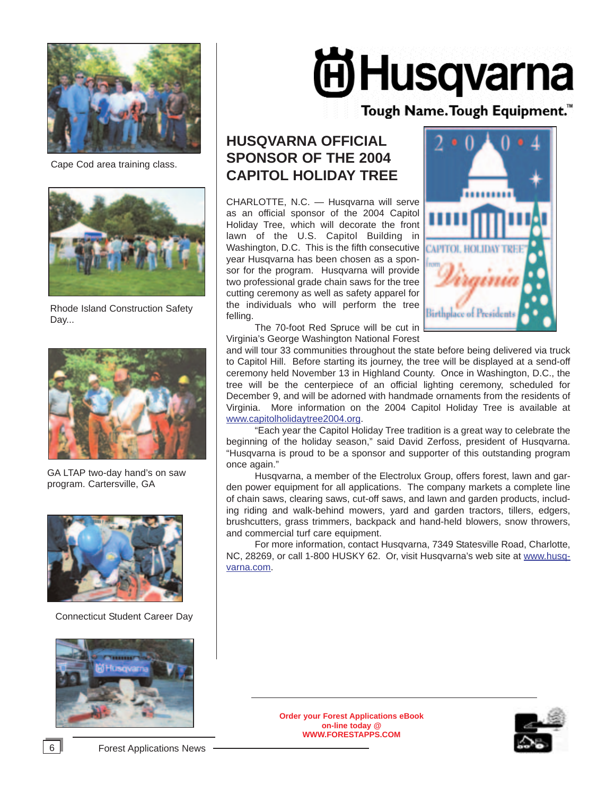

Cape Cod area training class.



Rhode Island Construction Safety Day...



GA LTAP two-day hand's on saw program. Cartersville, GA



Connecticut Student Career Day



# **间Husqvarna**

Tough Name. Tough Equipment.<sup>™</sup>

#### **HUSQVARNA OFFICIAL SPONSOR OF THE 2004 CAPITOL HOLIDAY TREE**

CHARLOTTE, N.C. — Husqvarna will serve as an official sponsor of the 2004 Capitol Holiday Tree, which will decorate the front lawn of the U.S. Capitol Building in Washington, D.C. This is the fifth consecutive year Husqvarna has been chosen as a sponsor for the program. Husqvarna will provide two professional grade chain saws for the tree cutting ceremony as well as safety apparel for the individuals who will perform the tree felling.



The 70-foot Red Spruce will be cut in Virginia's George Washington National Forest

and will tour 33 communities throughout the state before being delivered via truck to Capitol Hill. Before starting its journey, the tree will be displayed at a send-off ceremony held November 13 in Highland County. Once in Washington, D.C., the tree will be the centerpiece of an official lighting ceremony, scheduled for December 9, and will be adorned with handmade ornaments from the residents of Virginia. More information on the 2004 Capitol Holiday Tree is available at www.capitolholidaytree2004.org.

"Each year the Capitol Holiday Tree tradition is a great way to celebrate the beginning of the holiday season," said David Zerfoss, president of Husqvarna. "Husqvarna is proud to be a sponsor and supporter of this outstanding program once again."

Husqvarna, a member of the Electrolux Group, offers forest, lawn and garden power equipment for all applications. The company markets a complete line of chain saws, clearing saws, cut-off saws, and lawn and garden products, including riding and walk-behind mowers, yard and garden tractors, tillers, edgers, brushcutters, grass trimmers, backpack and hand-held blowers, snow throwers, and commercial turf care equipment.

For more information, contact Husqvarna, 7349 Statesville Road, Charlotte, NC, 28269, or call 1-800 HUSKY 62. Or, visit Husqvarna's web site at www.husqvarna.com.

> **Order your Forest Applications eBook on-line today @ WWW.FORESTAPPS.COM**

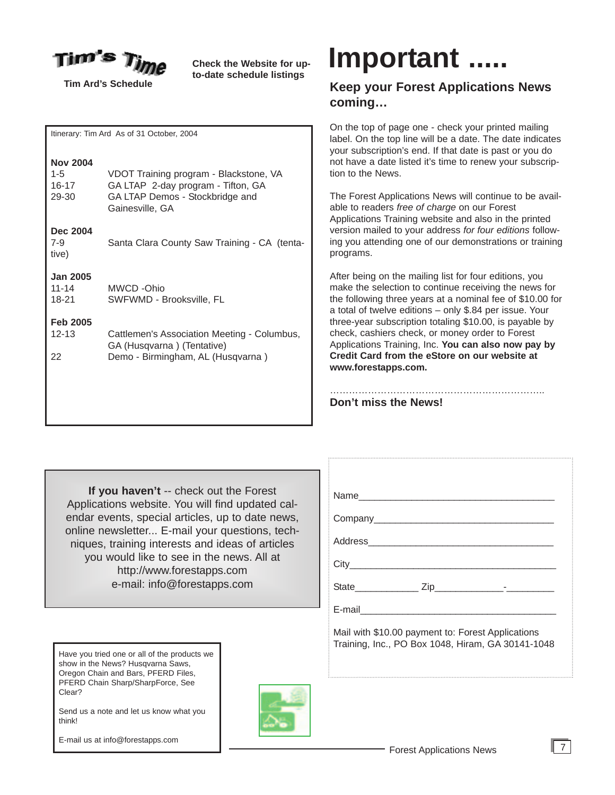

**Tim Ard's Schedule**

**Check the Website for upto-date schedule listings**

Itinerary: Tim Ard As of 31 October, 2004

| <b>Nov 2004</b><br>$1 - 5$<br>16-17<br>29-30 | VDOT Training program - Blackstone, VA<br>GA LTAP 2-day program - Tifton, GA<br>GA LTAP Demos - Stockbridge and<br>Gainesville, GA |
|----------------------------------------------|------------------------------------------------------------------------------------------------------------------------------------|
| Dec 2004<br>$7-9$<br>tive)                   | Santa Clara County Saw Training - CA (tenta-                                                                                       |
| <b>Jan 2005</b><br>11-14<br>18-21            | MWCD -Ohio<br>SWFWMD - Brooksville, FL                                                                                             |
| <b>Feb 2005</b><br>$12 - 13$<br>22           | Cattlemen's Association Meeting - Columbus,<br>GA (Husqvarna) (Tentative)<br>Demo - Birmingham, AL (Husqvarna)                     |
|                                              |                                                                                                                                    |

## **Important .....**

#### **Keep your Forest Applications News coming…**

On the top of page one - check your printed mailing label. On the top line will be a date. The date indicates your subscription's end. If that date is past or you do not have a date listed it's time to renew your subscription to the News.

The Forest Applications News will continue to be available to readers *free of charge* on our Forest Applications Training website and also in the printed version mailed to your address *for four editions* following you attending one of our demonstrations or training programs.

After being on the mailing list for four editions, you make the selection to continue receiving the news for the following three years at a nominal fee of \$10.00 for a total of twelve editions – only \$.84 per issue. Your three-year subscription totaling \$10.00, is payable by check, cashiers check, or money order to Forest Applications Training, Inc. **You can also now pay by Credit Card from the eStore on our website at www.forestapps.com.**

……………………………………………………………… **Don't miss the News!**

**If you haven't** -- check out the Forest Applications website. You will find updated calendar events, special articles, up to date news, online newsletter... E-mail your questions, techniques, training interests and ideas of articles you would like to see in the news. All at http://www.forestapps.com e-mail: info@forestapps.com

| State________________ Zip_______________--_-__-                                                        |  |
|--------------------------------------------------------------------------------------------------------|--|
|                                                                                                        |  |
| Mail with \$10.00 payment to: Forest Applications<br>Training, Inc., PO Box 1048, Hiram, GA 30141-1048 |  |

Have you tried one or all of the products we show in the News? Husqvarna Saws, Oregon Chain and Bars, PFERD Files, PFERD Chain Sharp/SharpForce, See Clear?

Send us a note and let us know what you think!

E-mail us at info@forestapps.com